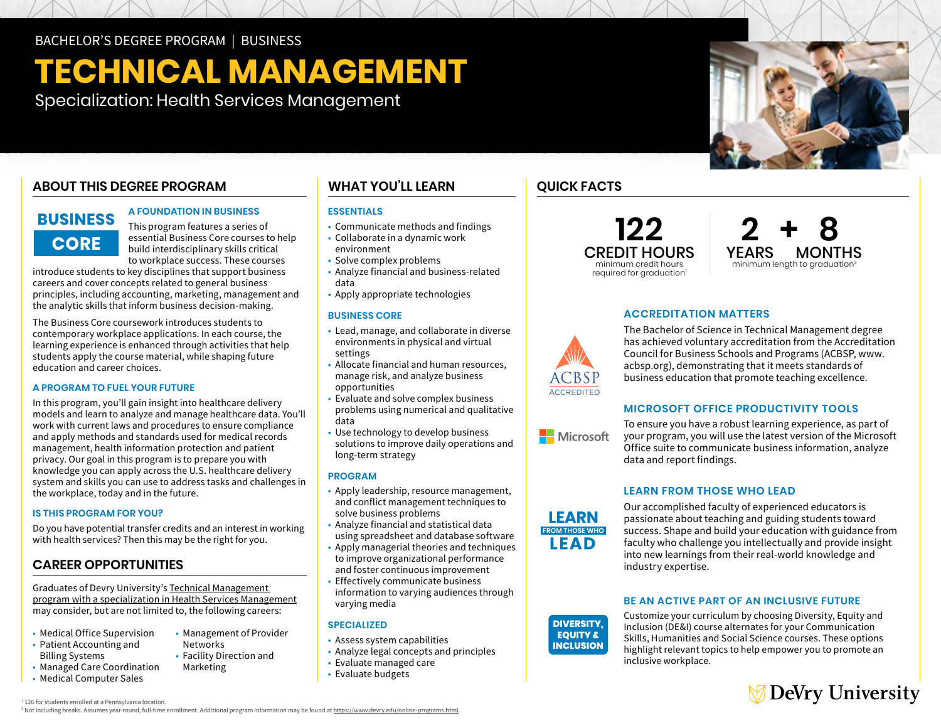# **TECHNICAL MANAGEMENT**

Specialization: Health Services Management

### **ABOUT THIS DEGREE PROGRAM**

### **BUSINESS CORE**

#### **A FOUNDATION IN BUSINESS**

This program features a series of essential Business Core courses to help build interdisciplinary skills critical to workplace success. These courses

introduce students to key disciplines that support business careers and cover concepts related to general business principles, including accounting, marketing, management and the analytic skills that inform business decision-making.

The Business Core coursework introduces students to contemporary workplace applications. In each course, the learning experience is enhanced through activities that help students apply the course material, while shaping future education and career choices.

#### **A PROGRAM TO FUEL YOUR FUTURE**

In this program, you'll gain insight into healthcare delivery models and learn to analyze and manage healthcare data. You'll work with current laws and procedures to ensure compliance and apply methods and standards used for medical records management, health information protection and patient privacy. Our goal in this program is to prepare you with knowledge you can apply across the U.S. healthcare delivery system and skills you can use to address tasks and challenges in the workplace, today and in the future.

#### **IS THIS PROGRAM FOR YOU?**

Do you have potential transfer credits and an interest in working with health services? Then this may be the right for you.

### **CAREER OPPORTUNITIES**

Graduates of Devry University's [Technical Management](https://www.devry.edu/online-programs/bachelors-degrees/business/health-services-management-specialization.html)  [program with a specialization in Health Services Management](https://www.devry.edu/online-programs/bachelors-degrees/business/health-services-management-specialization.html)  may consider, but are not limited to, the following careers:

- Medical Office Supervision
- Patient Accounting and Billing Systems
- Managed Care Coordination
- Medical Computer Sales
- Management of Provider Networks • Facility Direction and
- Marketing
	-

### **WHAT YOU'LL LEARN**

#### **ESSENTIALS**

- Communicate methods and findings
- Collaborate in a dynamic work environment
- Solve complex problems
- Analyze financial and business-related data
- Apply appropriate technologies

#### **BUSINESS CORE**

- Lead, manage, and collaborate in diverse environments in physical and virtual settings
- Allocate financial and human resources, manage risk, and analyze business opportunities
- Evaluate and solve complex business problems using numerical and qualitative data
- Use technology to develop business solutions to improve daily operations and long-term strategy

#### **PROGRAM**

- Apply leadership, resource management, and conflict management techniques to solve business problems
- Analyze financial and statistical data using spreadsheet and database software
- Apply managerial theories and techniques to improve organizational performance and foster continuous improvement
- Effectively communicate business information to varying audiences through varying media

#### **SPECIALIZED**

- Assess system capabilities
- Analyze legal concepts and principles
- Evaluate managed care
- Evaluate budgets

## **QUICK FACTS**





#### **ACCREDITATION MATTERS**

The Bachelor of Science in Technical Management degree has achieved voluntary accreditation from the Accreditation Council for Business Schools and Programs (ACBSP, [www.](http://www.acbsp.org) [acbsp.org\)](http://www.acbsp.org), demonstrating that it meets standards of business education that promote teaching excellence.

#### **MICROSOFT OFFICE PRODUCTIVITY TOOLS**



ACCREDITED

To ensure you have a robust learning experience, as part of your program, you will use the latest version of the Microsoft Office suite to communicate business information, analyze data and report findings.

#### **LEARN FROM THOSE WHO LEAD**



#### **BE AN ACTIVE PART OF AN INCLUSIVE FUTURE**

Customize your curriculum by choosing Diversity, Equity and Inclusion (DE&I) course alternates for your Communication Skills, Humanities and Social Science courses. These options highlight relevant topics to help empower you to promote an inclusive workplace.



1 126 for students enrolled at a Pennsylvania location. <sup>2</sup> Not including breaks. Assumes year-round, full-time enrollment. Additional program information may be found at [https://www.devry.edu/online-programs.html.](https://www.devry.edu/online-programs.html)

**DIVERSITY, EQUITY & INCLUSION**